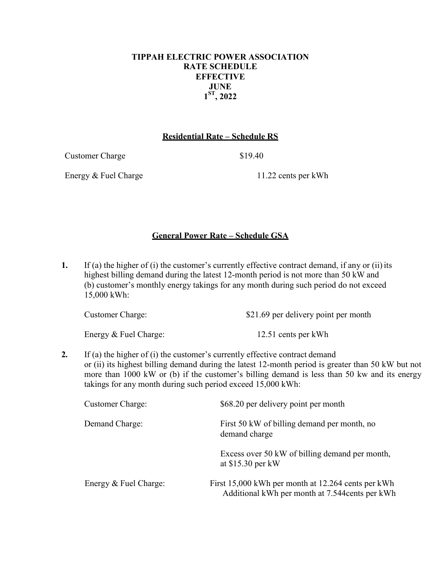## **TIPPAH ELECTRIC POWER ASSOCIATION RATE SCHEDULE EFFECTIVE JUNE 1ST, 2022**

#### **Residential Rate – Schedule RS**

Customer Charge \$19.40

Energy & Fuel Charge 11.22 cents per kWh

## **General Power Rate – Schedule GSA**

**1.** If (a) the higher of (i) the customer's currently effective contract demand, if any or (ii) its highest billing demand during the latest 12-month period is not more than 50 kW and (b) customer's monthly energy takings for any month during such period do not exceed 15,000 kWh:

| <b>Customer Charge:</b> | \$21.69 per delivery point per month |
|-------------------------|--------------------------------------|
| Energy & Fuel Charge:   | 12.51 cents per kWh                  |

**2.** If (a) the higher of (i) the customer's currently effective contract demand or (ii) its highest billing demand during the latest 12-month period is greater than 50 kW but not more than 1000 kW or (b) if the customer's billing demand is less than 50 kw and its energy takings for any month during such period exceed 15,000 kWh:

| <b>Customer Charge:</b> | \$68.20 per delivery point per month                                                                  |
|-------------------------|-------------------------------------------------------------------------------------------------------|
| Demand Charge:          | First 50 kW of billing demand per month, no<br>demand charge                                          |
|                         | Excess over 50 kW of billing demand per month,<br>at $$15.30$ per kW                                  |
| Energy & Fuel Charge:   | First 15,000 kWh per month at 12.264 cents per kWh<br>Additional kWh per month at 7.544 cents per kWh |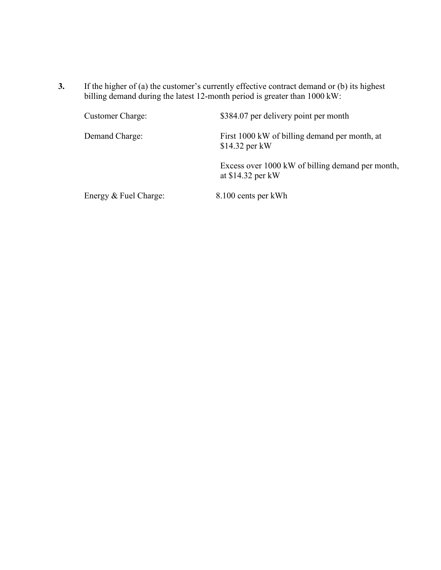**3.** If the higher of (a) the customer's currently effective contract demand or (b) its highest billing demand during the latest 12-month period is greater than 1000 kW:

| <b>Customer Charge:</b> | \$384.07 per delivery point per month                                  |
|-------------------------|------------------------------------------------------------------------|
| Demand Charge:          | First 1000 kW of billing demand per month, at<br>$$14.32$ per kW       |
|                         | Excess over 1000 kW of billing demand per month,<br>at $$14.32$ per kW |
| Energy & Fuel Charge:   | 8.100 cents per kWh                                                    |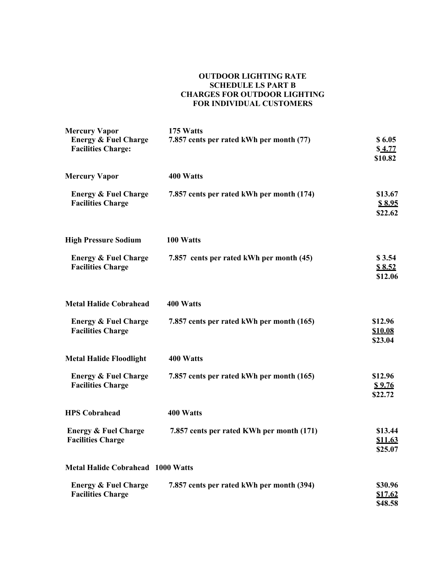#### **OUTDOOR LIGHTING RATE SCHEDULE LS PART B CHARGES FOR OUTDOOR LIGHTING FOR INDIVIDUAL CUSTOMERS**

| <b>Mercury Vapor</b><br><b>Energy &amp; Fuel Charge</b>     | 175 Watts<br>7.857 cents per rated kWh per month (77) | \$6.05                               |
|-------------------------------------------------------------|-------------------------------------------------------|--------------------------------------|
| <b>Facilities Charge:</b>                                   |                                                       | \$4.77<br>\$10.82                    |
| <b>Mercury Vapor</b>                                        | 400 Watts                                             |                                      |
| <b>Energy &amp; Fuel Charge</b><br><b>Facilities Charge</b> | 7.857 cents per rated kWh per month (174)             | \$13.67<br>\$8.95<br>\$22.62         |
| <b>High Pressure Sodium</b>                                 | 100 Watts                                             |                                      |
| <b>Energy &amp; Fuel Charge</b><br><b>Facilities Charge</b> | 7.857 cents per rated kWh per month (45)              | \$3.54<br>\$8.52<br>\$12.06          |
| <b>Metal Halide Cobrahead</b>                               | 400 Watts                                             |                                      |
| <b>Energy &amp; Fuel Charge</b><br><b>Facilities Charge</b> | 7.857 cents per rated kWh per month (165)             | \$12.96<br><b>\$10.08</b><br>\$23.04 |
| <b>Metal Halide Floodlight</b>                              | 400 Watts                                             |                                      |
| <b>Energy &amp; Fuel Charge</b><br><b>Facilities Charge</b> | 7.857 cents per rated kWh per month (165)             | \$12.96<br><u>\$9.76</u><br>\$22.72  |
| <b>HPS Cobrahead</b>                                        | 400 Watts                                             |                                      |
| <b>Energy &amp; Fuel Charge</b><br><b>Facilities Charge</b> | 7.857 cents per rated KWh per month (171)             | \$13.44<br><u>\$11.63</u><br>\$25.07 |
| <b>Metal Halide Cobrahead 1000 Watts</b>                    |                                                       |                                      |
| <b>Energy &amp; Fuel Charge</b><br><b>Facilities Charge</b> | 7.857 cents per rated kWh per month (394)             | \$30.96<br>\$17.62<br>\$48.58        |